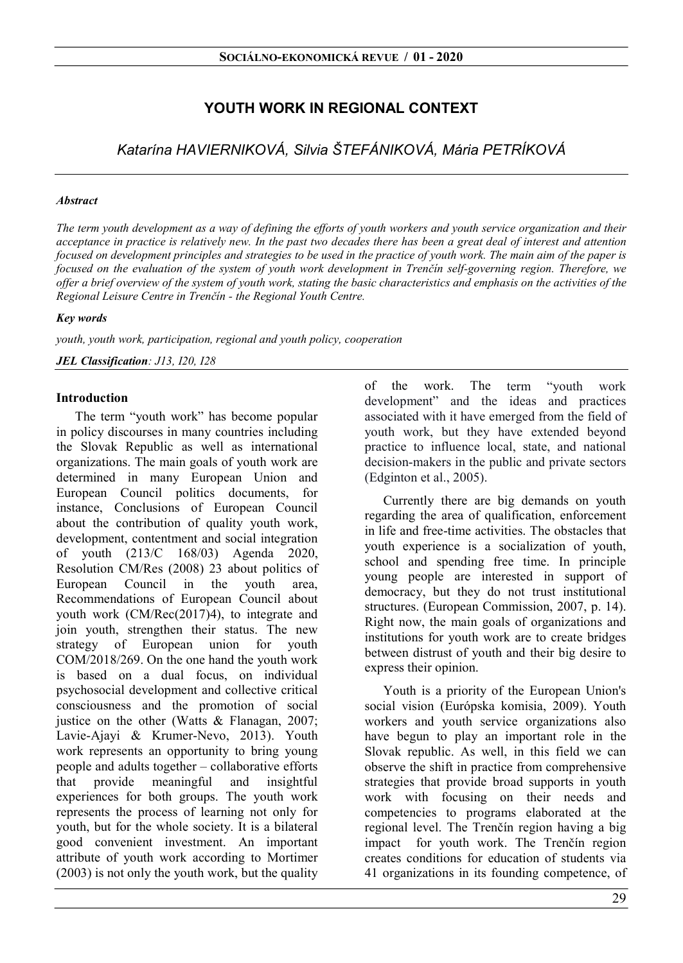# YOUTH WORK IN REGIONAL CONTEXT

Katarína HAVIERNIKOVÁ, Silvia ŠTEFÁNIKOVÁ, Mária PETRÍKOVÁ

#### Abstract

The term youth development as a way of defining the efforts of youth workers and youth service organization and their acceptance in practice is relatively new. In the past two decades there has been a great deal of interest and attention focused on development principles and strategies to be used in the practice of youth work. The main aim of the paper is focused on the evaluation of the system of youth work development in Trenčín self-governing region. Therefore, we offer a brief overview of the system of youth work, stating the basic characteristics and emphasis on the activities of the Regional Leisure Centre in Trenčín - the Regional Youth Centre.

#### Key words

youth, youth work, participation, regional and youth policy, cooperation

JEL Classification: J13, I20, I28

### Introduction

The term "youth work" has become popular in policy discourses in many countries including the Slovak Republic as well as international organizations. The main goals of youth work are determined in many European Union and European Council politics documents, for instance, Conclusions of European Council about the contribution of quality youth work, development, contentment and social integration of youth (213/C 168/03) Agenda 2020, Resolution CM/Res (2008) 23 about politics of European Council in the youth area, Recommendations of European Council about youth work (CM/Rec(2017)4), to integrate and join youth, strengthen their status. The new strategy of European union for youth COM/2018/269. On the one hand the youth work is based on a dual focus, on individual psychosocial development and collective critical consciousness and the promotion of social justice on the other (Watts & Flanagan, 2007; Lavie-Ajayi & Krumer-Nevo, 2013). Youth work represents an opportunity to bring young people and adults together – collaborative efforts that provide meaningful and insightful experiences for both groups. The youth work represents the process of learning not only for youth, but for the whole society. It is a bilateral good convenient investment. An important attribute of youth work according to Mortimer (2003) is not only the youth work, but the quality

of the work. The term "youth work development" and the ideas and practices associated with it have emerged from the field of youth work, but they have extended beyond practice to influence local, state, and national decision-makers in the public and private sectors (Edginton et al., 2005).

Currently there are big demands on youth regarding the area of qualification, enforcement in life and free-time activities. The obstacles that youth experience is a socialization of youth, school and spending free time. In principle young people are interested in support of democracy, but they do not trust institutional structures. (European Commission, 2007, p. 14). Right now, the main goals of organizations and institutions for youth work are to create bridges between distrust of youth and their big desire to express their opinion.

Youth is a priority of the European Union's social vision (Európska komisia, 2009). Youth workers and youth service organizations also have begun to play an important role in the Slovak republic. As well, in this field we can observe the shift in practice from comprehensive strategies that provide broad supports in youth work with focusing on their needs and competencies to programs elaborated at the regional level. The Trenčín region having a big impact for youth work. The Trenčín region creates conditions for education of students via 41 organizations in its founding competence, of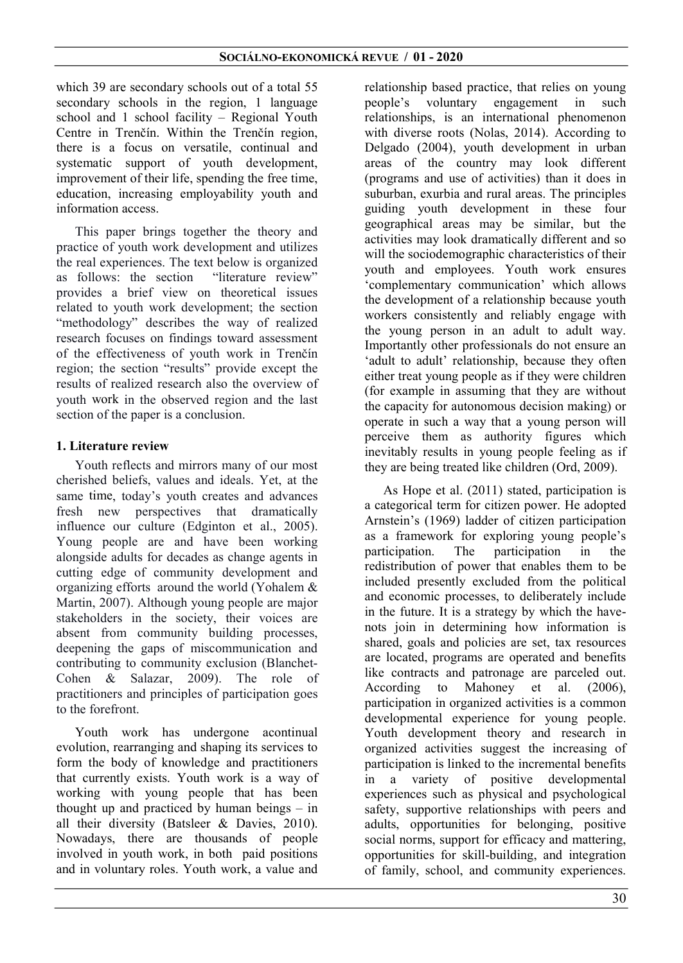which 39 are secondary schools out of a total 55 secondary schools in the region, 1 language school and 1 school facility – Regional Youth Centre in Trenčín. Within the Trenčín region, there is a focus on versatile, continual and systematic support of youth development, improvement of their life, spending the free time, education, increasing employability youth and information access.

This paper brings together the theory and practice of youth work development and utilizes the real experiences. The text below is organized<br>as follows: the section "literature review" as follows: the section provides a brief view on theoretical issues related to youth work development; the section "methodology" describes the way of realized research focuses on findings toward assessment of the effectiveness of youth work in Trenčín region; the section "results" provide except the results of realized research also the overview of youth work in the observed region and the last section of the paper is a conclusion.

# 1. Literature review

Youth reflects and mirrors many of our most cherished beliefs, values and ideals. Yet, at the same time, today's youth creates and advances fresh new perspectives that dramatically influence our culture (Edginton et al., 2005). Young people are and have been working alongside adults for decades as change agents in cutting edge of community development and organizing efforts around the world (Yohalem & Martin, 2007). Although young people are major stakeholders in the society, their voices are absent from community building processes, deepening the gaps of miscommunication and contributing to community exclusion (Blanchet-Cohen & Salazar, 2009). The role of practitioners and principles of participation goes to the forefront.

Youth work has undergone acontinual evolution, rearranging and shaping its services to form the body of knowledge and practitioners that currently exists. Youth work is a way of working with young people that has been thought up and practiced by human beings – in all their diversity (Batsleer & Davies, 2010). Nowadays, there are thousands of people involved in youth work, in both paid positions and in voluntary roles. Youth work, a value and

relationship based practice, that relies on young people's voluntary engagement in such relationships, is an international phenomenon with diverse roots (Nolas, 2014). According to Delgado (2004), youth development in urban areas of the country may look different (programs and use of activities) than it does in suburban, exurbia and rural areas. The principles guiding youth development in these four geographical areas may be similar, but the activities may look dramatically different and so will the sociodemographic characteristics of their youth and employees. Youth work ensures 'complementary communication' which allows the development of a relationship because youth workers consistently and reliably engage with the young person in an adult to adult way. Importantly other professionals do not ensure an 'adult to adult' relationship, because they often either treat young people as if they were children (for example in assuming that they are without the capacity for autonomous decision making) or operate in such a way that a young person will perceive them as authority figures which inevitably results in young people feeling as if they are being treated like children (Ord, 2009).

As Hope et al. (2011) stated, participation is a categorical term for citizen power. He adopted Arnstein's (1969) ladder of citizen participation as a framework for exploring young people's participation. The participation in the redistribution of power that enables them to be included presently excluded from the political and economic processes, to deliberately include in the future. It is a strategy by which the havenots join in determining how information is shared, goals and policies are set, tax resources are located, programs are operated and benefits like contracts and patronage are parceled out. According to Mahoney et al. (2006), participation in organized activities is a common developmental experience for young people. Youth development theory and research in organized activities suggest the increasing of participation is linked to the incremental benefits in a variety of positive developmental experiences such as physical and psychological safety, supportive relationships with peers and adults, opportunities for belonging, positive social norms, support for efficacy and mattering, opportunities for skill-building, and integration of family, school, and community experiences.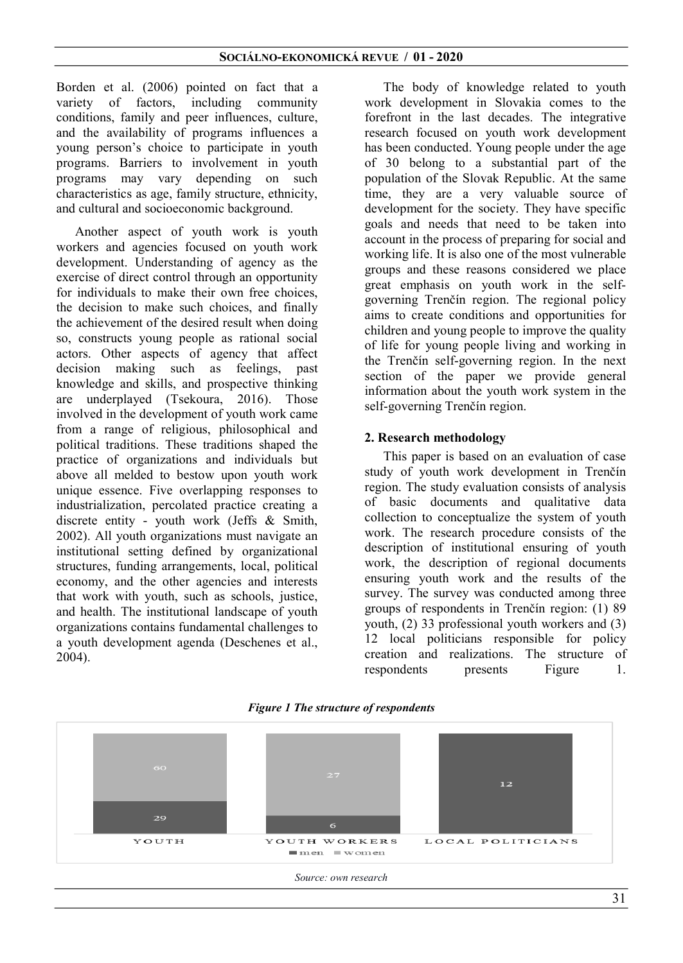Borden et al. (2006) pointed on fact that a variety of factors, including community conditions, family and peer influences, culture, and the availability of programs influences a young person's choice to participate in youth programs. Barriers to involvement in youth programs may vary depending on such characteristics as age, family structure, ethnicity, and cultural and socioeconomic background.

Another aspect of youth work is youth workers and agencies focused on youth work development. Understanding of agency as the exercise of direct control through an opportunity for individuals to make their own free choices, the decision to make such choices, and finally the achievement of the desired result when doing so, constructs young people as rational social actors. Other aspects of agency that affect decision making such as feelings, past knowledge and skills, and prospective thinking are underplayed (Tsekoura, 2016). Those involved in the development of youth work came from a range of religious, philosophical and political traditions. These traditions shaped the practice of organizations and individuals but above all melded to bestow upon youth work unique essence. Five overlapping responses to industrialization, percolated practice creating a discrete entity - youth work (Jeffs & Smith, 2002). All youth organizations must navigate an institutional setting defined by organizational structures, funding arrangements, local, political economy, and the other agencies and interests that work with youth, such as schools, justice, and health. The institutional landscape of youth organizations contains fundamental challenges to a youth development agenda (Deschenes et al., 2004).

The body of knowledge related to youth work development in Slovakia comes to the forefront in the last decades. The integrative research focused on youth work development has been conducted. Young people under the age of 30 belong to a substantial part of the population of the Slovak Republic. At the same time, they are a very valuable source of development for the society. They have specific goals and needs that need to be taken into account in the process of preparing for social and working life. It is also one of the most vulnerable groups and these reasons considered we place great emphasis on youth work in the selfgoverning Trenčín region. The regional policy aims to create conditions and opportunities for children and young people to improve the quality of life for young people living and working in the Trenčín self-governing region. In the next section of the paper we provide general information about the youth work system in the self-governing Trenčín region.

### 2. Research methodology

This paper is based on an evaluation of case study of youth work development in Trenčín region. The study evaluation consists of analysis of basic documents and qualitative data collection to conceptualize the system of youth work. The research procedure consists of the description of institutional ensuring of youth work, the description of regional documents ensuring youth work and the results of the survey. The survey was conducted among three groups of respondents in Trenčín region: (1) 89 youth, (2) 33 professional youth workers and (3) 12 local politicians responsible for policy creation and realizations. The structure of respondents presents Figure 1.



#### Figure 1 The structure of respondents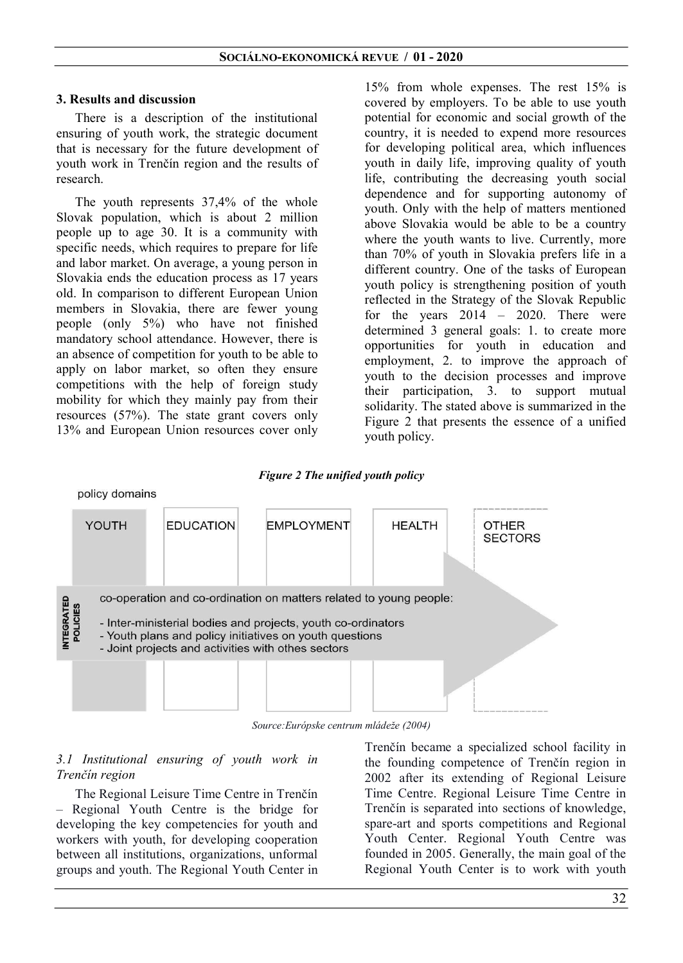### 3. Results and discussion

There is a description of the institutional ensuring of youth work, the strategic document that is necessary for the future development of youth work in Trenčín region and the results of research.

The youth represents 37,4% of the whole Slovak population, which is about 2 million people up to age 30. It is a community with specific needs, which requires to prepare for life and labor market. On average, a young person in Slovakia ends the education process as 17 years old. In comparison to different European Union members in Slovakia, there are fewer young people (only 5%) who have not finished mandatory school attendance. However, there is an absence of competition for youth to be able to apply on labor market, so often they ensure competitions with the help of foreign study mobility for which they mainly pay from their resources (57%). The state grant covers only 13% and European Union resources cover only

15% from whole expenses. The rest 15% is covered by employers. To be able to use youth potential for economic and social growth of the country, it is needed to expend more resources for developing political area, which influences youth in daily life, improving quality of youth life, contributing the decreasing youth social dependence and for supporting autonomy of youth. Only with the help of matters mentioned above Slovakia would be able to be a country where the youth wants to live. Currently, more than 70% of youth in Slovakia prefers life in a different country. One of the tasks of European youth policy is strengthening position of youth reflected in the Strategy of the Slovak Republic for the years  $2014 - 2020$ . There were determined 3 general goals: 1. to create more opportunities for youth in education and employment, 2. to improve the approach of youth to the decision processes and improve their participation, 3. to support mutual solidarity. The stated above is summarized in the Figure 2 that presents the essence of a unified youth policy.

#### Figure 2 The unified youth policy



Source:Európske centrum mládeže (2004)

### 3.1 Institutional ensuring of youth work in Trenčín region

The Regional Leisure Time Centre in Trenčín – Regional Youth Centre is the bridge for developing the key competencies for youth and workers with youth, for developing cooperation between all institutions, organizations, unformal groups and youth. The Regional Youth Center in

Trenčín became a specialized school facility in the founding competence of Trenčín region in 2002 after its extending of Regional Leisure Time Centre. Regional Leisure Time Centre in Trenčín is separated into sections of knowledge, spare-art and sports competitions and Regional Youth Center. Regional Youth Centre was founded in 2005. Generally, the main goal of the Regional Youth Center is to work with youth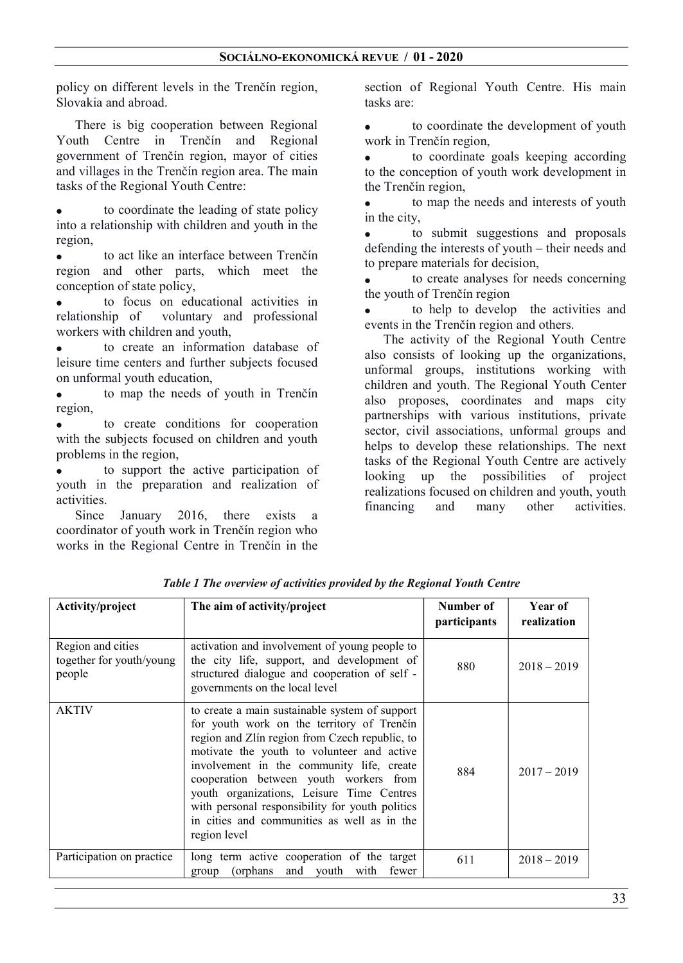policy on different levels in the Trenčín region, Slovakia and abroad.

There is big cooperation between Regional Youth Centre in Trenčín and Regional government of Trenčín region, mayor of cities and villages in the Trenčín region area. The main tasks of the Regional Youth Centre:

 to coordinate the leading of state policy into a relationship with children and youth in the region,

 to act like an interface between Trenčín region and other parts, which meet the conception of state policy,

 to focus on educational activities in relationship of voluntary and professional workers with children and youth,

 to create an information database of leisure time centers and further subjects focused on unformal youth education,

 to map the needs of youth in Trenčín region,

 to create conditions for cooperation with the subjects focused on children and youth problems in the region,

 to support the active participation of youth in the preparation and realization of activities.

Since January 2016, there exists a coordinator of youth work in Trenčín region who works in the Regional Centre in Trenčín in the section of Regional Youth Centre. His main tasks are:

 to coordinate the development of youth work in Trenčín region,

 to coordinate goals keeping according to the conception of youth work development in the Trenčín region,

 to map the needs and interests of youth in the city,

 to submit suggestions and proposals defending the interests of youth – their needs and to prepare materials for decision,

 to create analyses for needs concerning the youth of Trenčín region

 to help to develop the activities and events in the Trenčín region and others.

The activity of the Regional Youth Centre also consists of looking up the organizations, unformal groups, institutions working with children and youth. The Regional Youth Center also proposes, coordinates and maps city partnerships with various institutions, private sector, civil associations, unformal groups and helps to develop these relationships. The next tasks of the Regional Youth Centre are actively looking up the possibilities of project realizations focused on children and youth, youth financing and many other activities.

| Activity/project                                        | The aim of activity/project                                                                                                                                                                                                                                                                                                                                                                                                                        | Number of<br>participants | Year of<br>realization |
|---------------------------------------------------------|----------------------------------------------------------------------------------------------------------------------------------------------------------------------------------------------------------------------------------------------------------------------------------------------------------------------------------------------------------------------------------------------------------------------------------------------------|---------------------------|------------------------|
| Region and cities<br>together for youth/young<br>people | activation and involvement of young people to<br>the city life, support, and development of<br>structured dialogue and cooperation of self -<br>governments on the local level                                                                                                                                                                                                                                                                     | 880                       | $2018 - 2019$          |
| <b>AKTIV</b>                                            | to create a main sustainable system of support<br>for youth work on the territory of Trenčín<br>region and Zlín region from Czech republic, to<br>motivate the youth to volunteer and active<br>involvement in the community life, create<br>cooperation between youth workers from<br>youth organizations, Leisure Time Centres<br>with personal responsibility for youth politics<br>in cities and communities as well as in the<br>region level | 884                       | $2017 - 2019$          |
| Participation on practice                               | long term active cooperation of the target<br>and youth<br>(orphans)<br>with<br>fewer<br>group                                                                                                                                                                                                                                                                                                                                                     | 611                       | $2018 - 2019$          |

Table 1 The overview of activities provided by the Regional Youth Centre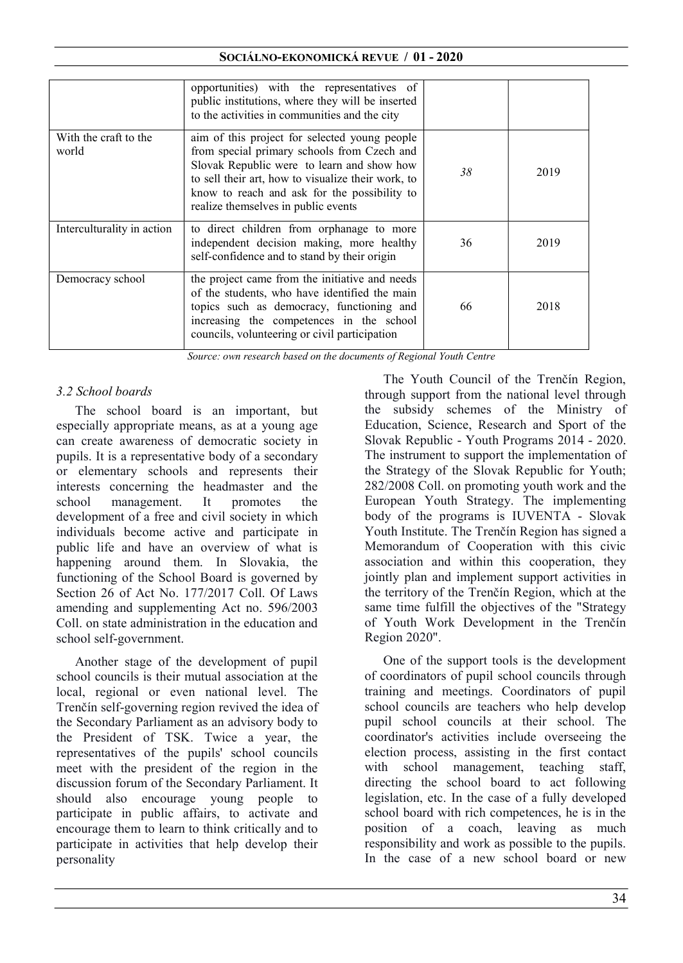### SOCIÁLNO-EKONOMICKÁ REVUE / 01 - 2020

|                                | opportunities) with the representatives of<br>public institutions, where they will be inserted<br>to the activities in communities and the city                                                                                                                                         |    |      |
|--------------------------------|-----------------------------------------------------------------------------------------------------------------------------------------------------------------------------------------------------------------------------------------------------------------------------------------|----|------|
| With the craft to the<br>world | aim of this project for selected young people<br>from special primary schools from Czech and<br>Slovak Republic were to learn and show how<br>to sell their art, how to visualize their work, to<br>know to reach and ask for the possibility to<br>realize themselves in public events | 38 | 2019 |
| Interculturality in action     | to direct children from orphanage to more<br>independent decision making, more healthy<br>self-confidence and to stand by their origin                                                                                                                                                  | 36 | 2019 |
| Democracy school               | the project came from the initiative and needs<br>of the students, who have identified the main<br>topics such as democracy, functioning and<br>increasing the competences in the school<br>councils, volunteering or civil participation                                               | 66 | 2018 |

Source: own research based on the documents of Regional Youth Centre

### 3.2 School boards

The school board is an important, but especially appropriate means, as at a young age can create awareness of democratic society in pupils. It is a representative body of a secondary or elementary schools and represents their interests concerning the headmaster and the school management. It promotes the development of a free and civil society in which individuals become active and participate in public life and have an overview of what is happening around them. In Slovakia, the functioning of the School Board is governed by Section 26 of Act No. 177/2017 Coll. Of Laws amending and supplementing Act no. 596/2003 Coll. on state administration in the education and school self-government.

Another stage of the development of pupil school councils is their mutual association at the local, regional or even national level. The Trenčín self-governing region revived the idea of the Secondary Parliament as an advisory body to the President of TSK. Twice a year, the representatives of the pupils' school councils meet with the president of the region in the discussion forum of the Secondary Parliament. It should also encourage young people to participate in public affairs, to activate and encourage them to learn to think critically and to participate in activities that help develop their personality

The Youth Council of the Trenčín Region, through support from the national level through the subsidy schemes of the Ministry of Education, Science, Research and Sport of the Slovak Republic - Youth Programs 2014 - 2020. The instrument to support the implementation of the Strategy of the Slovak Republic for Youth; 282/2008 Coll. on promoting youth work and the European Youth Strategy. The implementing body of the programs is IUVENTA - Slovak Youth Institute. The Trenčín Region has signed a Memorandum of Cooperation with this civic association and within this cooperation, they jointly plan and implement support activities in the territory of the Trenčín Region, which at the same time fulfill the objectives of the "Strategy of Youth Work Development in the Trenčín Region 2020".

One of the support tools is the development of coordinators of pupil school councils through training and meetings. Coordinators of pupil school councils are teachers who help develop pupil school councils at their school. The coordinator's activities include overseeing the election process, assisting in the first contact with school management, teaching staff, directing the school board to act following legislation, etc. In the case of a fully developed school board with rich competences, he is in the position of a coach, leaving as much responsibility and work as possible to the pupils. In the case of a new school board or new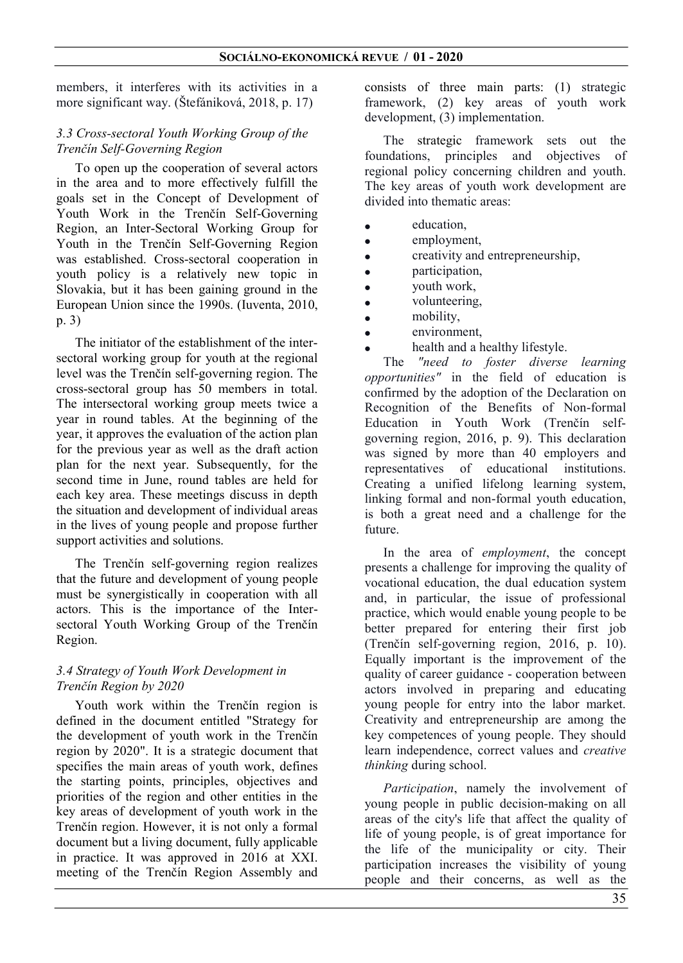members, it interferes with its activities in a more significant way. (Štefániková, 2018, p. 17)

# 3.3 Cross-sectoral Youth Working Group of the Trenčín Self-Governing Region

To open up the cooperation of several actors in the area and to more effectively fulfill the goals set in the Concept of Development of Youth Work in the Trenčín Self-Governing Region, an Inter-Sectoral Working Group for Youth in the Trenčín Self-Governing Region was established. Cross-sectoral cooperation in youth policy is a relatively new topic in Slovakia, but it has been gaining ground in the European Union since the 1990s. (Iuventa, 2010, p. 3)

The initiator of the establishment of the intersectoral working group for youth at the regional level was the Trenčín self-governing region. The cross-sectoral group has 50 members in total. The intersectoral working group meets twice a year in round tables. At the beginning of the year, it approves the evaluation of the action plan for the previous year as well as the draft action plan for the next year. Subsequently, for the second time in June, round tables are held for each key area. These meetings discuss in depth the situation and development of individual areas in the lives of young people and propose further support activities and solutions.

The Trenčín self-governing region realizes that the future and development of young people must be synergistically in cooperation with all actors. This is the importance of the Intersectoral Youth Working Group of the Trenčín Region.

### 3.4 Strategy of Youth Work Development in Trenčín Region by 2020

Youth work within the Trenčín region is defined in the document entitled "Strategy for the development of youth work in the Trenčín region by 2020". It is a strategic document that specifies the main areas of youth work, defines the starting points, principles, objectives and priorities of the region and other entities in the key areas of development of youth work in the Trenčín region. However, it is not only a formal document but a living document, fully applicable in practice. It was approved in 2016 at XXI. meeting of the Trenčín Region Assembly and

consists of three main parts: (1) strategic framework, (2) key areas of youth work development, (3) implementation.

The strategic framework sets out the foundations, principles and objectives of regional policy concerning children and youth. The key areas of youth work development are divided into thematic areas:

- education,
- employment.
- creativity and entrepreneurship,
- participation,
- youth work,
- volunteering,
- mobility,
- environment,
- health and a healthy lifestyle.

The "need to foster diverse learning opportunities" in the field of education is confirmed by the adoption of the Declaration on Recognition of the Benefits of Non-formal Education in Youth Work (Trenčín selfgoverning region, 2016, p. 9). This declaration was signed by more than 40 employers and representatives of educational institutions. Creating a unified lifelong learning system, linking formal and non-formal youth education, is both a great need and a challenge for the future.

In the area of employment, the concept presents a challenge for improving the quality of vocational education, the dual education system and, in particular, the issue of professional practice, which would enable young people to be better prepared for entering their first job (Trenčín self-governing region, 2016, p. 10). Equally important is the improvement of the quality of career guidance - cooperation between actors involved in preparing and educating young people for entry into the labor market. Creativity and entrepreneurship are among the key competences of young people. They should learn independence, correct values and creative thinking during school.

Participation, namely the involvement of young people in public decision-making on all areas of the city's life that affect the quality of life of young people, is of great importance for the life of the municipality or city. Their participation increases the visibility of young people and their concerns, as well as the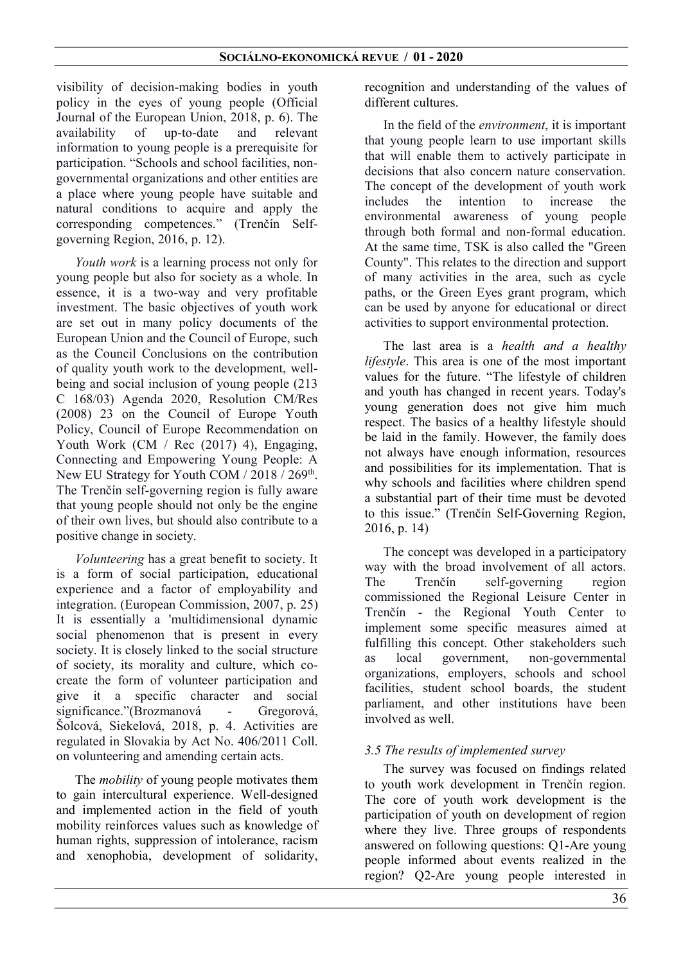visibility of decision-making bodies in youth policy in the eyes of young people (Official Journal of the European Union, 2018, p. 6). The availability of up-to-date and relevant information to young people is a prerequisite for participation. "Schools and school facilities, nongovernmental organizations and other entities are a place where young people have suitable and natural conditions to acquire and apply the corresponding competences." (Trenčín Selfgoverning Region, 2016, p. 12).

Youth work is a learning process not only for young people but also for society as a whole. In essence, it is a two-way and very profitable investment. The basic objectives of youth work are set out in many policy documents of the European Union and the Council of Europe, such as the Council Conclusions on the contribution of quality youth work to the development, wellbeing and social inclusion of young people (213 C 168/03) Agenda 2020, Resolution CM/Res (2008) 23 on the Council of Europe Youth Policy, Council of Europe Recommendation on Youth Work (CM / Rec (2017) 4), Engaging, Connecting and Empowering Young People: A New EU Strategy for Youth COM / 2018 / 269<sup>th</sup>. The Trenčín self-governing region is fully aware that young people should not only be the engine of their own lives, but should also contribute to a positive change in society.

Volunteering has a great benefit to society. It is a form of social participation, educational experience and a factor of employability and integration. (European Commission, 2007, p. 25) It is essentially a 'multidimensional dynamic social phenomenon that is present in every society. It is closely linked to the social structure of society, its morality and culture, which cocreate the form of volunteer participation and give it a specific character and social significance."(Brozmanová - Gregorová, Šolcová, Siekelová, 2018, p. 4. Activities are regulated in Slovakia by Act No. 406/2011 Coll. on volunteering and amending certain acts.

The *mobility* of young people motivates them to gain intercultural experience. Well-designed and implemented action in the field of youth mobility reinforces values such as knowledge of human rights, suppression of intolerance, racism and xenophobia, development of solidarity,

recognition and understanding of the values of different cultures.

In the field of the environment, it is important that young people learn to use important skills that will enable them to actively participate in decisions that also concern nature conservation. The concept of the development of youth work includes the intention to increase the environmental awareness of young people through both formal and non-formal education. At the same time, TSK is also called the "Green County". This relates to the direction and support of many activities in the area, such as cycle paths, or the Green Eyes grant program, which can be used by anyone for educational or direct activities to support environmental protection.

The last area is a *health and a healthy* lifestyle. This area is one of the most important values for the future. "The lifestyle of children and youth has changed in recent years. Today's young generation does not give him much respect. The basics of a healthy lifestyle should be laid in the family. However, the family does not always have enough information, resources and possibilities for its implementation. That is why schools and facilities where children spend a substantial part of their time must be devoted to this issue." (Trenčín Self-Governing Region, 2016, p. 14)

The concept was developed in a participatory way with the broad involvement of all actors. The Trenčín self-governing region commissioned the Regional Leisure Center in Trenčín - the Regional Youth Center to implement some specific measures aimed at fulfilling this concept. Other stakeholders such as local government, non-governmental organizations, employers, schools and school facilities, student school boards, the student parliament, and other institutions have been involved as well.

### 3.5 The results of implemented survey

The survey was focused on findings related to youth work development in Trenčín region. The core of youth work development is the participation of youth on development of region where they live. Three groups of respondents answered on following questions: Q1-Are young people informed about events realized in the region? Q2-Are young people interested in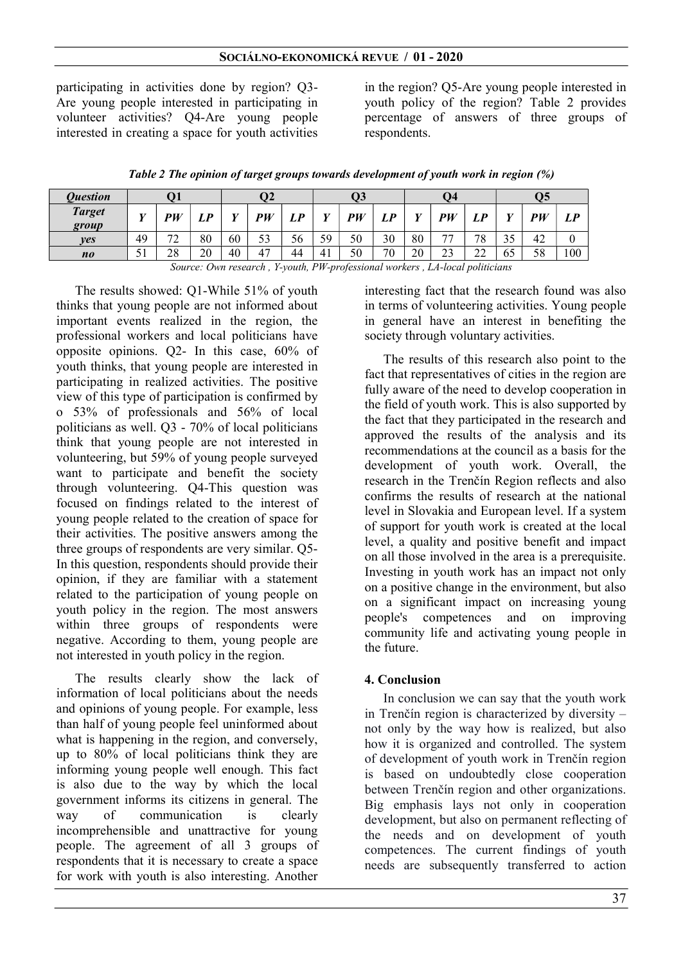#### SOCIÁLNO-EKONOMICKÁ REVUE / 01 - 2020

participating in activities done by region? Q3- Are young people interested in participating in volunteer activities? Q4-Are young people interested in creating a space for youth activities in the region? Q5-Are young people interested in youth policy of the region? Table 2 provides percentage of answers of three groups of respondents.

| <b>Ouestion</b>        |              |         | 92 |              | Q3 |            | 94           |    |        | Q5 |                          |                     |              |     |          |
|------------------------|--------------|---------|----|--------------|----|------------|--------------|----|--------|----|--------------------------|---------------------|--------------|-----|----------|
| <b>Target</b><br>group | $\mathbf{v}$ | PW      | "  | $\mathbf{v}$ | PW | $\angle P$ | $\mathbf{V}$ | PW | D<br>" | T  | <b>DI</b> I/             | TD.<br>"            | $\mathbf{V}$ | DIJ | I D<br>" |
| ves                    | 49           | 70<br>∼ | 80 | 60           | 53 | 56         | 59           | 50 | 30     | 80 | $\overline{\phantom{a}}$ | 78                  | 35           | 42  |          |
| no                     | 51<br>JІ     | 28      | 20 | 40           | 47 | 44         | 41           | 50 | 70     | 20 | $\sim$<br>ر ے            | $\mathcal{L}$<br>∠∠ | 65           | 58  | 100      |

Table 2 The opinion of target groups towards development of youth work in region (%)

Source: Own research , Y-youth, PW-professional workers , LA-local politicians

The results showed: Q1-While 51% of youth thinks that young people are not informed about important events realized in the region, the professional workers and local politicians have opposite opinions. Q2- In this case, 60% of youth thinks, that young people are interested in participating in realized activities. The positive view of this type of participation is confirmed by o 53% of professionals and 56% of local politicians as well. Q3 - 70% of local politicians think that young people are not interested in volunteering, but 59% of young people surveyed want to participate and benefit the society through volunteering. Q4-This question was focused on findings related to the interest of young people related to the creation of space for their activities. The positive answers among the three groups of respondents are very similar. Q5- In this question, respondents should provide their opinion, if they are familiar with a statement related to the participation of young people on youth policy in the region. The most answers within three groups of respondents were negative. According to them, young people are not interested in youth policy in the region.

The results clearly show the lack of information of local politicians about the needs and opinions of young people. For example, less than half of young people feel uninformed about what is happening in the region, and conversely, up to 80% of local politicians think they are informing young people well enough. This fact is also due to the way by which the local government informs its citizens in general. The way of communication is clearly incomprehensible and unattractive for young people. The agreement of all 3 groups of respondents that it is necessary to create a space for work with youth is also interesting. Another

interesting fact that the research found was also in terms of volunteering activities. Young people in general have an interest in benefiting the society through voluntary activities.

The results of this research also point to the fact that representatives of cities in the region are fully aware of the need to develop cooperation in the field of youth work. This is also supported by the fact that they participated in the research and approved the results of the analysis and its recommendations at the council as a basis for the development of youth work. Overall, the research in the Trenčín Region reflects and also confirms the results of research at the national level in Slovakia and European level. If a system of support for youth work is created at the local level, a quality and positive benefit and impact on all those involved in the area is a prerequisite. Investing in youth work has an impact not only on a positive change in the environment, but also on a significant impact on increasing young people's competences and on improving community life and activating young people in the future.

### 4. Conclusion

In conclusion we can say that the youth work in Trenčín region is characterized by diversity – not only by the way how is realized, but also how it is organized and controlled. The system of development of youth work in Trenčín region is based on undoubtedly close cooperation between Trenčín region and other organizations. Big emphasis lays not only in cooperation development, but also on permanent reflecting of the needs and on development of youth competences. The current findings of youth needs are subsequently transferred to action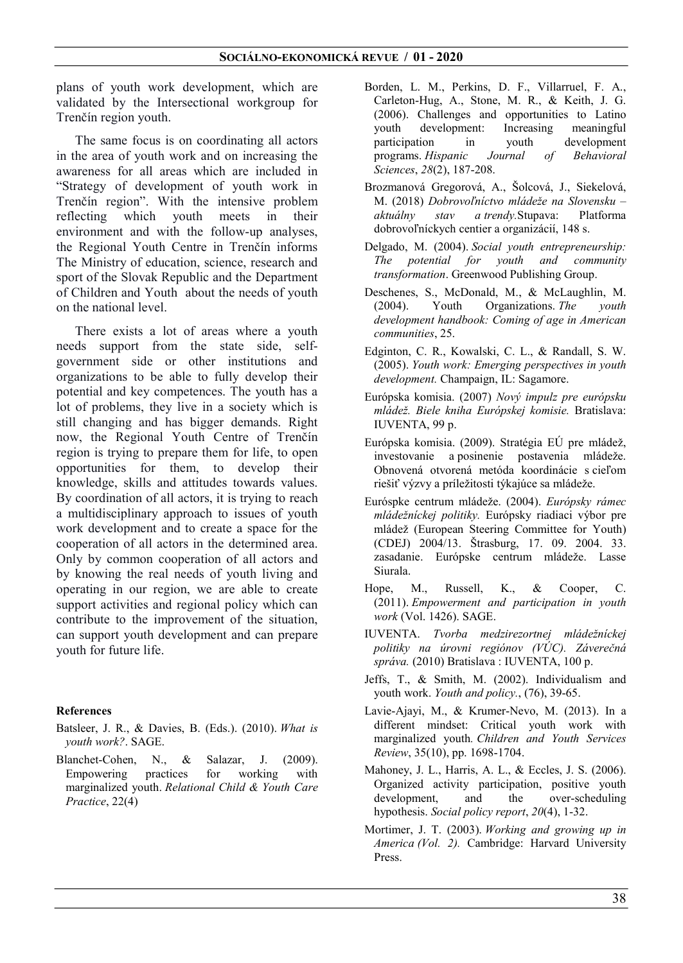plans of youth work development, which are validated by the Intersectional workgroup for Trenčín region youth.

The same focus is on coordinating all actors in the area of youth work and on increasing the awareness for all areas which are included in "Strategy of development of youth work in Trenčín region". With the intensive problem reflecting which youth meets in their environment and with the follow-up analyses, the Regional Youth Centre in Trenčín informs The Ministry of education, science, research and sport of the Slovak Republic and the Department of Children and Youth about the needs of youth on the national level.

There exists a lot of areas where a youth needs support from the state side, selfgovernment side or other institutions and organizations to be able to fully develop their potential and key competences. The youth has a lot of problems, they live in a society which is still changing and has bigger demands. Right now, the Regional Youth Centre of Trenčín region is trying to prepare them for life, to open opportunities for them, to develop their knowledge, skills and attitudes towards values. By coordination of all actors, it is trying to reach a multidisciplinary approach to issues of youth work development and to create a space for the cooperation of all actors in the determined area. Only by common cooperation of all actors and by knowing the real needs of youth living and operating in our region, we are able to create support activities and regional policy which can contribute to the improvement of the situation, can support youth development and can prepare youth for future life.

#### References

- Batsleer, J. R., & Davies, B. (Eds.). (2010). What is youth work?. SAGE.
- Blanchet-Cohen, N., & Salazar, J. (2009). Empowering practices for working with marginalized youth. Relational Child & Youth Care Practice, 22(4)
- Borden, L. M., Perkins, D. F., Villarruel, F. A., Carleton-Hug, A., Stone, M. R., & Keith, J. G. (2006). Challenges and opportunities to Latino<br>youth development: Increasing meaningful development: Increasing meaningful participation in youth development programs. Hispanic Journal of Behavioral Sciences, 28(2), 187-208.
- Brozmanová Gregorová, A., Šolcová, J., Siekelová, M. (2018) Dobrovoľníctvo mládeže na Slovensku – aktuálny stav a trendy.Stupava: Platforma dobrovoľníckych centier a organizácií, 148 s.
- Delgado, M. (2004). Social youth entrepreneurship: The potential for youth and community transformation. Greenwood Publishing Group.
- Deschenes, S., McDonald, M., & McLaughlin, M. (2004). Youth Organizations. The youth development handbook: Coming of age in American communities, 25.
- Edginton, C. R., Kowalski, C. L., & Randall, S. W. (2005). Youth work: Emerging perspectives in youth development. Champaign, IL: Sagamore.
- Európska komisia. (2007) Nový impulz pre európsku mládež. Biele kniha Európskej komisie. Bratislava: IUVENTA, 99 p.
- Európska komisia. (2009). Stratégia EÚ pre mládež, investovanie a posinenie postavenia mládeže. Obnovená otvorená metóda koordinácie s cieľom riešiť výzvy a príležitosti týkajúce sa mládeže.
- Euróspke centrum mládeže. (2004). Európsky rámec mládežníckej politiky. Európsky riadiaci výbor pre mládež (European Steering Committee for Youth) (CDEJ) 2004/13. Štrasburg, 17. 09. 2004. 33. zasadanie. Európske centrum mládeže. Lasse Siurala.
- Hope, M., Russell, K., & Cooper, C. (2011). Empowerment and participation in youth work (Vol. 1426). SAGE.
- IUVENTA. Tvorba medzirezortnej mládežníckej politiky na úrovni regiónov (VÚC). Záverečná správa. (2010) Bratislava : IUVENTA, 100 p.
- Jeffs, T., & Smith, M. (2002). Individualism and youth work. Youth and policy., (76), 39-65.
- Lavie-Ajayi, M., & Krumer-Nevo, M. (2013). In a different mindset: Critical youth work with marginalized youth. Children and Youth Services Review, 35(10), pp. 1698-1704.
- Mahoney, J. L., Harris, A. L., & Eccles, J. S. (2006). Organized activity participation, positive youth development, and the over-scheduling hypothesis. Social policy report, 20(4), 1-32.
- Mortimer, J. T. (2003). Working and growing up in America (Vol. 2). Cambridge: Harvard University Press.